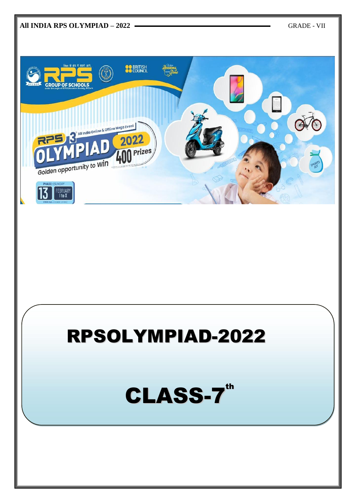

# RPSOLYMPIAD-2022

CLASS-7th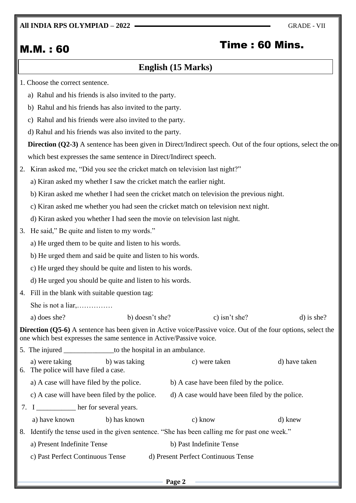## **All INDIA RPS OLYMPIAD – 2022** GRADE - VII

# M.M. : 60 Time : 60 Mins.

# **English (15 Marks)**

- 1. Choose the correct sentence.
	- a) Rahul and his friends is also invited to the party.
	- b) Rahul and his friends has also invited to the party.
	- c) Rahul and his friends were also invited to the party.
	- d) Rahul and his friends was also invited to the party.

**Direction (Q2-3)** A sentence has been given in Direct/Indirect speech. Out of the four options, select the one which best expresses the same sentence in Direct/Indirect speech.

- 2. Kiran asked me, "Did you see the cricket match on television last night?"
	- a) Kiran asked my whether I saw the cricket match the earlier night.
	- b) Kiran asked me whether I had seen the cricket match on television the previous night.
	- c) Kiran asked me whether you had seen the cricket match on television next night.
	- d) Kiran asked you whether I had seen the movie on television last night.
- 3. He said," Be quite and listen to my words."
	- a) He urged them to be quite and listen to his words.
	- b) He urged them and said be quite and listen to his words.
	- c) He urged they should be quite and listen to his words.
	- d) He urged you should be quite and listen to his words.
- 4. Fill in the blank with suitable question tag:

She is not a liar,……………

a) does she? b) doesn't she? c) isn't she? d) is she?

**Direction (Q5-6)** A sentence has been given in Active voice/Passive voice. Out of the four options, select the one which best expresses the same sentence in Active/Passive voice.

|    | 5. The injured                                                                              | to the hospital in an ambulance. |                                                |               |  |
|----|---------------------------------------------------------------------------------------------|----------------------------------|------------------------------------------------|---------------|--|
|    | a) were taking<br>6. The police will have filed a case.                                     | b) was taking                    | c) were taken                                  | d) have taken |  |
|    | a) A case will have filed by the police.                                                    |                                  | b) A case have been filed by the police.       |               |  |
|    | c) A case will have been filed by the police.                                               |                                  | d) A case would have been filed by the police. |               |  |
|    | 7. I her for several years.                                                                 |                                  |                                                |               |  |
|    | a) have known                                                                               | b) has known                     | c) know                                        | d) knew       |  |
| 8. | Identify the tense used in the given sentence. "She has been calling me for past one week." |                                  |                                                |               |  |
|    | a) Present Indefinite Tense                                                                 |                                  | b) Past Indefinite Tense                       |               |  |
|    | c) Past Perfect Continuous Tense                                                            |                                  | d) Present Perfect Continuous Tense            |               |  |
|    |                                                                                             |                                  |                                                |               |  |
|    |                                                                                             |                                  |                                                |               |  |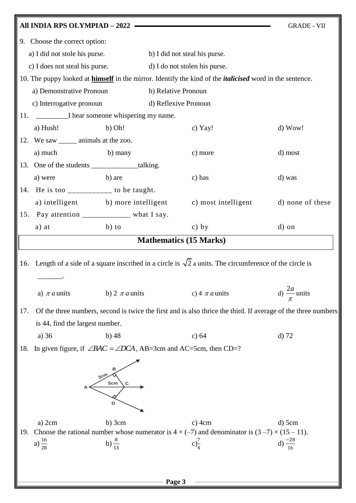|     | All INDIA RPS OLYMPIAD - 2022                                                |                    |                               |                                                                                                                                  | <b>GRADE - VII</b>                                                                                            |  |
|-----|------------------------------------------------------------------------------|--------------------|-------------------------------|----------------------------------------------------------------------------------------------------------------------------------|---------------------------------------------------------------------------------------------------------------|--|
| 9.  | Choose the correct option:                                                   |                    |                               |                                                                                                                                  |                                                                                                               |  |
|     | a) I did not stole his purse. b) I did not steal his purse.                  |                    |                               |                                                                                                                                  |                                                                                                               |  |
|     | c) I does not steal his purse. d) I do not stolen his purse.                 |                    |                               |                                                                                                                                  |                                                                                                               |  |
|     |                                                                              |                    |                               | 10. The puppy looked at <b>himself</b> in the mirror. Identify the kind of the <i>italicised</i> word in the sentence.           |                                                                                                               |  |
|     | a) Demonstrative Pronoun<br>b) Relative Pronoun                              |                    |                               |                                                                                                                                  |                                                                                                               |  |
|     | c) Interrogative pronoun                                                     |                    |                               | d) Reflexive Pronoun                                                                                                             |                                                                                                               |  |
| 11. | I hear someone whispering my name.                                           |                    |                               |                                                                                                                                  |                                                                                                               |  |
|     | a) Hush!                                                                     | b) Oh!             |                               | c) Yay!                                                                                                                          | $d)$ Wow!                                                                                                     |  |
|     | 12. We saw _______ animals at the zoo.                                       |                    |                               |                                                                                                                                  |                                                                                                               |  |
|     | a) much                                                                      | b) many            |                               | c) more                                                                                                                          | d) most                                                                                                       |  |
|     | 13. One of the students ______________talking.                               |                    |                               |                                                                                                                                  |                                                                                                               |  |
|     | a) were                                                                      | b) are             |                               | c) has                                                                                                                           | d) was                                                                                                        |  |
| 14. | He is too $\frac{1}{2}$ = $\frac{1}{2}$ = $\frac{1}{2}$ to be taught.        |                    |                               |                                                                                                                                  |                                                                                                               |  |
|     |                                                                              |                    |                               | a) intelligent b) more intelligent c) most intelligent                                                                           | d) none of these                                                                                              |  |
| 15. | Pay attention ___________ what I say.                                        |                    |                               |                                                                                                                                  |                                                                                                               |  |
|     | a) at                                                                        | $b)$ to            |                               | $c)$ by                                                                                                                          | d) on                                                                                                         |  |
|     |                                                                              |                    | <b>Mathematics (15 Marks)</b> |                                                                                                                                  |                                                                                                               |  |
|     |                                                                              |                    |                               |                                                                                                                                  |                                                                                                               |  |
| 16. |                                                                              |                    |                               | Length of a side of a square inscribed in a circle is $\sqrt{2}$ a units. The circumference of the circle is                     |                                                                                                               |  |
|     |                                                                              |                    |                               |                                                                                                                                  |                                                                                                               |  |
|     | a) $\pi a$ units                                                             | b) 2 $\pi a$ units |                               | c) 4 $\pi a$ units                                                                                                               | d) $\frac{2a}{a}$ units                                                                                       |  |
| 17. |                                                                              |                    |                               |                                                                                                                                  | Of the three numbers, second is twice the first and is also thrice the third. If average of the three numbers |  |
|     | is 44, find the largest number.                                              |                    |                               |                                                                                                                                  |                                                                                                               |  |
|     | a) 36                                                                        | $b)$ 48            |                               | c) $64$                                                                                                                          | $d)$ 72                                                                                                       |  |
| 18. | In given figure, if $\angle BAC = \angle DCA$ , AB=3cm and AC=5cm, then CD=? |                    |                               |                                                                                                                                  |                                                                                                               |  |
|     | 3cm<br>5cm<br>С<br>D                                                         |                    |                               |                                                                                                                                  |                                                                                                               |  |
|     | $a)$ 2cm                                                                     | $b)$ 3cm           |                               | $c)$ 4cm                                                                                                                         | $d)$ 5cm                                                                                                      |  |
| 19. | a) $\frac{16}{28}$                                                           | b) $\frac{8}{13}$  |                               | Choose the rational number whose numerator is $4 \times (-7)$ and denominator is $(3 -7) \times (15 - 11)$ .<br>$c) \frac{7}{4}$ | d) $\frac{-28}{16}$                                                                                           |  |
|     |                                                                              |                    |                               |                                                                                                                                  |                                                                                                               |  |
|     |                                                                              |                    |                               |                                                                                                                                  |                                                                                                               |  |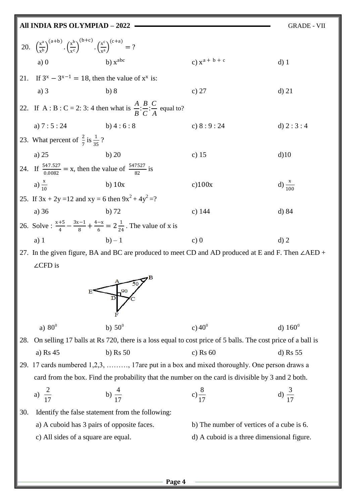| All INDIA RPS OLYMPIAD - 2022<br><b>GRADE - VII</b> |                                                                                                                                                  |                |                    |                    |  |
|-----------------------------------------------------|--------------------------------------------------------------------------------------------------------------------------------------------------|----------------|--------------------|--------------------|--|
|                                                     | 20. $\left(\frac{x^{a}}{y^{b}}\right)^{(a+b)} \cdot \left(\frac{x^{b}}{y^{c}}\right)^{(b+c)} \cdot \left(\frac{x^{c}}{y^{a}}\right)^{(c+a)} = ?$ |                |                    |                    |  |
|                                                     | a)0                                                                                                                                              | $b)$ $x^{abc}$ | c) $x^{a + b + c}$ | $d)$ 1             |  |
|                                                     | 21. If $3^x - 3^{x-1} = 18$ , then the value of $x^x$ is:                                                                                        |                |                    |                    |  |
|                                                     | a) $3$                                                                                                                                           | b)8            | c) $27$            | $d)$ 21            |  |
|                                                     | 22. If A : B : C = 2: 3: 4 then what is $\frac{A}{B}:\frac{B}{C}:\frac{C}{A}$ equal to?                                                          |                |                    |                    |  |
|                                                     | a) $7:5:24$ b) $4:6:8$                                                                                                                           |                | c) $8:9:24$        | d) $2:3:4$         |  |
|                                                     | 23. What percent of $\frac{2}{7}$ is $\frac{1}{35}$ ?                                                                                            |                |                    |                    |  |
|                                                     | a) $25$                                                                                                                                          | b) 20          | c) $15$            | $d$ )10            |  |
|                                                     | 24. If $\frac{547.527}{0.0082}$ = x, then the value of $\frac{547527}{82}$ is                                                                    |                |                    |                    |  |
|                                                     | a) $\frac{x}{10}$                                                                                                                                | b) $10x$       | c)100x             | d) $\frac{x}{100}$ |  |
|                                                     | 25. If $3x + 2y = 12$ and $xy = 6$ then $9x^2 + 4y^2 = ?$                                                                                        |                |                    |                    |  |
|                                                     | a) 36                                                                                                                                            | $b)$ 72        | c) $144$           | $d)$ 84            |  |
|                                                     | 26. Solve: $\frac{x+5}{4} - \frac{3x-1}{8} + \frac{4-x}{6} = 2\frac{1}{24}$ . The value of x is                                                  |                |                    |                    |  |
|                                                     | $a)$ 1                                                                                                                                           | $b) - 1$       | c)0                | $d)$ 2             |  |
|                                                     | 27. In the given figure, BA and BC are produced to meet CD and AD produced at E and F. Then $\angle AED +$                                       |                |                    |                    |  |

∠CFD is



28. On selling 17 balls at Rs 720, there is a loss equal to cost price of 5 balls. The cost price of a ball is a) Rs 45 b) Rs 50 c) Rs 60 d) Rs 55

29. 17 cards numbered 1,2,3, ………, 17are put in a box and mixed thoroughly. One person draws a card from the box. Find the probability that the number on the card is divisible by 3 and 2 both.

a) 
$$
\frac{2}{17}
$$
 b)  $\frac{4}{17}$  c)  $\frac{8}{17}$  d)  $\frac{3}{17}$ 

30. Identify the false statement from the following:

- a) A cuboid has 3 pairs of opposite faces. b) The number of vertices of a cube is 6.
	-
	- c) All sides of a square are equal. d) A cuboid is a three dimensional figure.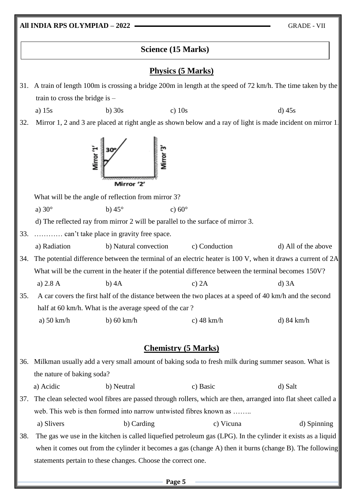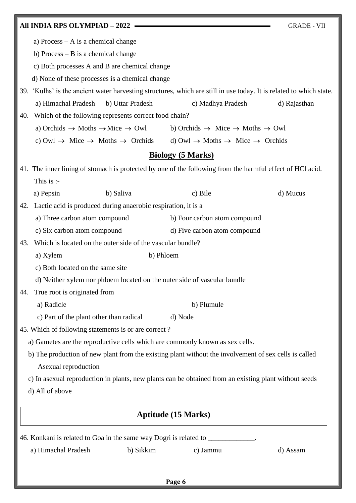| All INDIA RPS OLYMPIAD - 2022                                                                                       | <b>GRADE - VII</b>                                                  |              |  |  |  |
|---------------------------------------------------------------------------------------------------------------------|---------------------------------------------------------------------|--------------|--|--|--|
| a) Process $- A$ is a chemical change                                                                               |                                                                     |              |  |  |  |
| b) Process $-$ B is a chemical change                                                                               |                                                                     |              |  |  |  |
| c) Both processes A and B are chemical change                                                                       |                                                                     |              |  |  |  |
| d) None of these processes is a chemical change                                                                     |                                                                     |              |  |  |  |
| 39. 'Kulhs' is the ancient water harvesting structures, which are still in use today. It is related to which state. |                                                                     |              |  |  |  |
| a) Himachal Pradesh<br>b) Uttar Pradesh                                                                             | c) Madhya Pradesh                                                   | d) Rajasthan |  |  |  |
| 40.                                                                                                                 | Which of the following represents correct food chain?               |              |  |  |  |
| a) Orchids $\rightarrow$ Moths $\rightarrow$ Mice $\rightarrow$ Owl                                                 | b) Orchids $\rightarrow$ Mice $\rightarrow$ Moths $\rightarrow$ Owl |              |  |  |  |
| c) Owl $\rightarrow$ Mice $\rightarrow$ Moths $\rightarrow$ Orchids                                                 | d) Owl $\rightarrow$ Moths $\rightarrow$ Mice $\rightarrow$ Orchids |              |  |  |  |
|                                                                                                                     | <b>Biology (5 Marks)</b>                                            |              |  |  |  |
| 41. The inner lining of stomach is protected by one of the following from the harmful effect of HCl acid.           |                                                                     |              |  |  |  |
| This is :-                                                                                                          |                                                                     |              |  |  |  |
| a) Pepsin<br>b) Saliva                                                                                              | c) Bile                                                             | d) Mucus     |  |  |  |
| Lactic acid is produced during anaerobic respiration, it is a<br>42.                                                |                                                                     |              |  |  |  |
| a) Three carbon atom compound                                                                                       | b) Four carbon atom compound                                        |              |  |  |  |
| c) Six carbon atom compound                                                                                         | d) Five carbon atom compound                                        |              |  |  |  |
| Which is located on the outer side of the vascular bundle?<br>43.                                                   |                                                                     |              |  |  |  |
| a) Xylem                                                                                                            | b) Phloem                                                           |              |  |  |  |
| c) Both located on the same site                                                                                    |                                                                     |              |  |  |  |
| d) Neither xylem nor phloem located on the outer side of vascular bundle                                            |                                                                     |              |  |  |  |
| True root is originated from<br>44.                                                                                 |                                                                     |              |  |  |  |
| a) Radicle                                                                                                          | b) Plumule                                                          |              |  |  |  |
| c) Part of the plant other than radical                                                                             | d) Node                                                             |              |  |  |  |
| 45. Which of following statements is or are correct?                                                                |                                                                     |              |  |  |  |
| a) Gametes are the reproductive cells which are commonly known as sex cells.                                        |                                                                     |              |  |  |  |
| b) The production of new plant from the existing plant without the involvement of sex cells is called               |                                                                     |              |  |  |  |
| Asexual reproduction                                                                                                |                                                                     |              |  |  |  |
| c) In asexual reproduction in plants, new plants can be obtained from an existing plant without seeds               |                                                                     |              |  |  |  |
| d) All of above                                                                                                     |                                                                     |              |  |  |  |
|                                                                                                                     |                                                                     |              |  |  |  |
| <b>Aptitude (15 Marks)</b>                                                                                          |                                                                     |              |  |  |  |
| 46. Konkani is related to Goa in the same way Dogri is related to ______________                                    |                                                                     |              |  |  |  |
| a) Himachal Pradesh<br>b) Sikkim                                                                                    | c) Jammu                                                            | d) Assam     |  |  |  |
|                                                                                                                     |                                                                     |              |  |  |  |
|                                                                                                                     |                                                                     |              |  |  |  |
|                                                                                                                     | Page 6                                                              |              |  |  |  |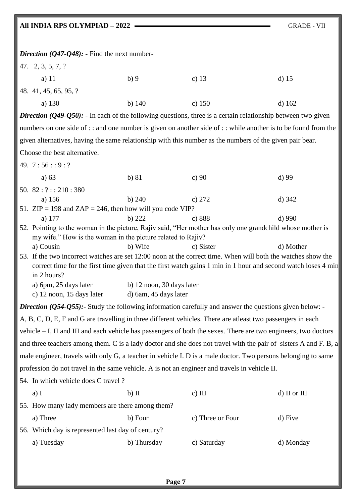# **All INDIA RPS OLYMPIAD – 2022** GRADE - VII

| <i>Direction</i> ( $Q$ 47- $Q$ 48): - Find the next number-                                                                 |                                                                                                                                                                                                                               |                  |              |  |  |
|-----------------------------------------------------------------------------------------------------------------------------|-------------------------------------------------------------------------------------------------------------------------------------------------------------------------------------------------------------------------------|------------------|--------------|--|--|
| 47. 2, 3, 5, 7, ?                                                                                                           |                                                                                                                                                                                                                               |                  |              |  |  |
| a) $11$                                                                                                                     | b)9                                                                                                                                                                                                                           | c) $13$          | $d)$ 15      |  |  |
| 48. 41, 45, 65, 95, ?                                                                                                       |                                                                                                                                                                                                                               |                  |              |  |  |
| a) 130                                                                                                                      | b) $140$                                                                                                                                                                                                                      | $c)$ 150         | $d)$ 162     |  |  |
| <i>Direction</i> ( $Q$ 49- $Q$ 50): - In each of the following questions, three is a certain relationship between two given |                                                                                                                                                                                                                               |                  |              |  |  |
| numbers on one side of :: and one number is given on another side of :: while another is to be found from the               |                                                                                                                                                                                                                               |                  |              |  |  |
| given alternatives, having the same relationship with this number as the numbers of the given pair bear.                    |                                                                                                                                                                                                                               |                  |              |  |  |
| Choose the best alternative.                                                                                                |                                                                                                                                                                                                                               |                  |              |  |  |
| 49. $7:56::9:?$                                                                                                             |                                                                                                                                                                                                                               |                  |              |  |  |
| a) $63$                                                                                                                     | b) 81                                                                                                                                                                                                                         | c) $90$          | $d$ ) 99     |  |  |
| 50. $82:?::210:380$                                                                                                         |                                                                                                                                                                                                                               |                  |              |  |  |
| a) 156                                                                                                                      | b) 240                                                                                                                                                                                                                        | c) $272$         | $d)$ 342     |  |  |
| 51. $ZIP = 198$ and $ZAP = 246$ , then how will you code VIP?<br>a) 177                                                     | b) $222$                                                                                                                                                                                                                      | c) 888           | $d)$ 990     |  |  |
| 52. Pointing to the woman in the picture, Rajiv said, "Her mother has only one grandchild whose mother is                   |                                                                                                                                                                                                                               |                  |              |  |  |
| my wife." How is the woman in the picture related to Rajiv?                                                                 |                                                                                                                                                                                                                               |                  |              |  |  |
| a) Cousin                                                                                                                   | b) Wife                                                                                                                                                                                                                       | c) Sister        | d) Mother    |  |  |
| in 2 hours?                                                                                                                 | 53. If the two incorrect watches are set 12:00 noon at the correct time. When will both the watches show the<br>correct time for the first time given that the first watch gains 1 min in 1 hour and second watch loses 4 min |                  |              |  |  |
| a) 6pm, 25 days later<br>c) 12 noon, 15 days later                                                                          | b) 12 noon, 30 days later<br>d) 6am, 45 days later                                                                                                                                                                            |                  |              |  |  |
| <i>Direction (Q54-Q55)</i> : Study the following information carefully and answer the questions given below: -              |                                                                                                                                                                                                                               |                  |              |  |  |
| A, B, C, D, E, F and G are travelling in three different vehicles. There are atleast two passengers in each                 |                                                                                                                                                                                                                               |                  |              |  |  |
| vehicle – I, II and III and each vehicle has passengers of both the sexes. There are two engineers, two doctors             |                                                                                                                                                                                                                               |                  |              |  |  |
| and three teachers among them. C is a lady doctor and she does not travel with the pair of sisters A and F. B, a            |                                                                                                                                                                                                                               |                  |              |  |  |
| male engineer, travels with only G, a teacher in vehicle I. D is a male doctor. Two persons belonging to same               |                                                                                                                                                                                                                               |                  |              |  |  |
| profession do not travel in the same vehicle. A is not an engineer and travels in vehicle II.                               |                                                                                                                                                                                                                               |                  |              |  |  |
| 54. In which vehicle does C travel?                                                                                         |                                                                                                                                                                                                                               |                  |              |  |  |
| $a)$ I                                                                                                                      | $b)$ II                                                                                                                                                                                                                       | $c)$ III         | d) II or III |  |  |
| 55. How many lady members are there among them?                                                                             |                                                                                                                                                                                                                               |                  |              |  |  |
| a) Three                                                                                                                    | b) Four                                                                                                                                                                                                                       | c) Three or Four | d) Five      |  |  |
|                                                                                                                             | 56. Which day is represented last day of century?                                                                                                                                                                             |                  |              |  |  |
| a) Tuesday                                                                                                                  | b) Thursday                                                                                                                                                                                                                   | c) Saturday      | d) Monday    |  |  |
|                                                                                                                             |                                                                                                                                                                                                                               |                  |              |  |  |